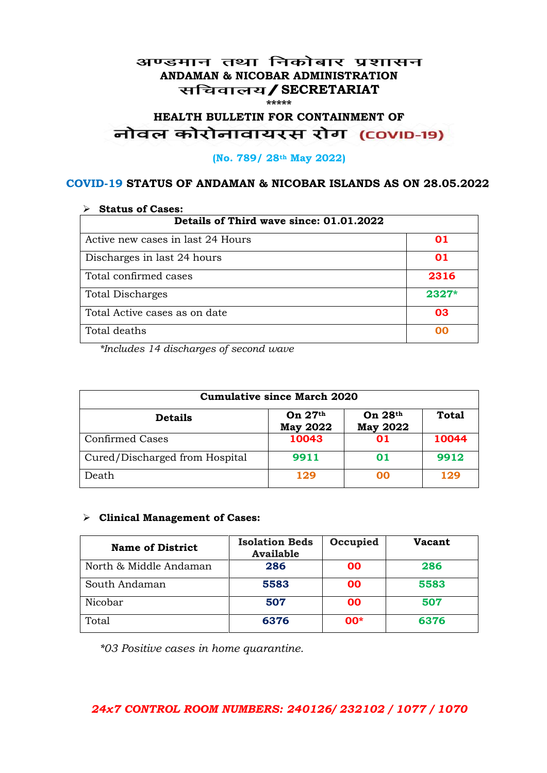#### अण्डमान तथा निकोबार प्रशासन **ANDAMAN & NICOBAR ADMINISTRATION /SECRETARIAT \*\*\*\*\***

# **HEALTH BULLETIN FOR CONTAINMENT OF**  नोवल कोरोनावायरस रोग (COVID-19)

#### **(No. 789/ 28th May 2022)**

#### **COVID-19 STATUS OF ANDAMAN & NICOBAR ISLANDS AS ON 28.05.2022**

| <b>Status of Cases:</b>                 |         |  |
|-----------------------------------------|---------|--|
| Details of Third wave since: 01.01.2022 |         |  |
| Active new cases in last 24 Hours       | 01      |  |
| Discharges in last 24 hours             | 01      |  |
| Total confirmed cases                   | 2316    |  |
| <b>Total Discharges</b>                 | $2327*$ |  |
| Total Active cases as on date           | 03      |  |
| Total deaths                            | OO      |  |

*\*Includes 14 discharges of second wave*

| <b>Cumulative since March 2020</b> |                              |                            |              |
|------------------------------------|------------------------------|----------------------------|--------------|
| <b>Details</b>                     | On $27th$<br><b>May 2022</b> | On 28th<br><b>May 2022</b> | <b>Total</b> |
| <b>Confirmed Cases</b>             | 10043                        | 01                         | 10044        |
| Cured/Discharged from Hospital     | 9911                         | 01                         | 9912         |
| Death                              | 129                          | 00                         | 129          |

#### **Clinical Management of Cases:**

| <b>Name of District</b> | <b>Isolation Beds</b><br><b>Available</b> | Occupied  | Vacant |
|-------------------------|-------------------------------------------|-----------|--------|
| North & Middle Andaman  | 286                                       | <b>OO</b> | 286    |
| South Andaman           | 5583                                      | <b>OO</b> | 5583   |
| Nicobar                 | 507                                       | <b>OO</b> | 507    |
| Total                   | 6376                                      | $00*$     | 6376   |

*\*03 Positive cases in home quarantine.*

### *24x7 CONTROL ROOM NUMBERS: 240126/ 232102 / 1077 / 1070*